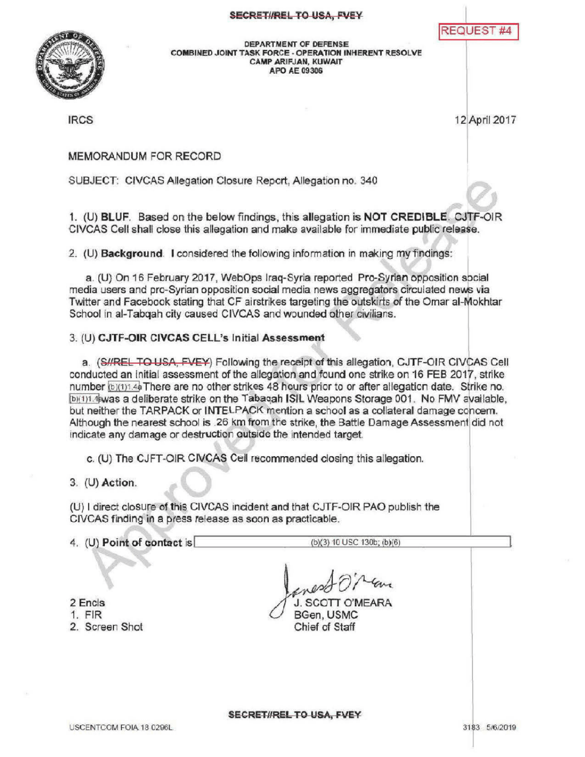## SECRET//REL TO USA, FVEY

**REQUEST #4** 



DEPARTMENT OF DEFENSE COMBINED JOINT TASK FORCE - OPERATION INHERENT RESOLVE CAMPARIFJAN, KUWAIT **APO AE 09306** 

IRCS 12 April2017

MEMORANDUM FOR RECORD

SUBJECT: CIVCAS Allegation Closure Report, Allegation no. 340

1. (U) BLUF. Based on the below findings, this allegation is NOT CREDIBLE. CJTF-OIR CIVCAS Cell shall close this allegation and make available for immediate public release .

2. (U) Background. I considered the following information in making my findings:

a. (U) On 16 February 2017, WebOps Iraq-Syria reported Pro-Syrian opposition social media users and pro-Syrian opposition social media news aggregators circulated news via Twitter and Facebook stating that CF airstrikes targeting the outskirts of the Omar al-Mokhtar School in al-Tabqah city caused CIVCAS and wounded other civilians.

## 3. (U) CJTF-OIR CIVCAS CELL's Initial Assessment

a. (S//REL TO USA, FVEY) Following the receipt of this allegation, CJTF-OIR CIVCAS Cell conducted an initial assessment of the allegation and found one strike on 16 FEB 2017, strike number  $(b)(1)$  4a There are no other strikes 48 hours prior to or after allegation date. Strike no. [b)(1)1.4 hwas a deliberate strike on the Tabaqah ISIL Weapons Storage 001. No FMV available, but neither the TARPACK or INTELPACK mention a school as a collateral damage concern. Although the nearest school is .26 km from the strike, the Battle Damage Assessment did not indicate any damage or destruction outside the intended target.

c. (U) The CJFT-OIR CIVCAS Cell recommended closing this allegation.

 $3.$  (U) Action.

(U) I direct closure of this CIVCAS incident and that CJTF-OIR PAO publish the CIVCAS finding in a press release as soon as practicable.

4. (U) Point of contact is  $(b)(3)$  10 USC 130b;  $(b)(6)$ 

2 Encis 1. FIR

2. Screen Shot

J. SCOTT O'MEARA BGen, USMC Chief of Staff

SECRET//RELTO USA, FVEY